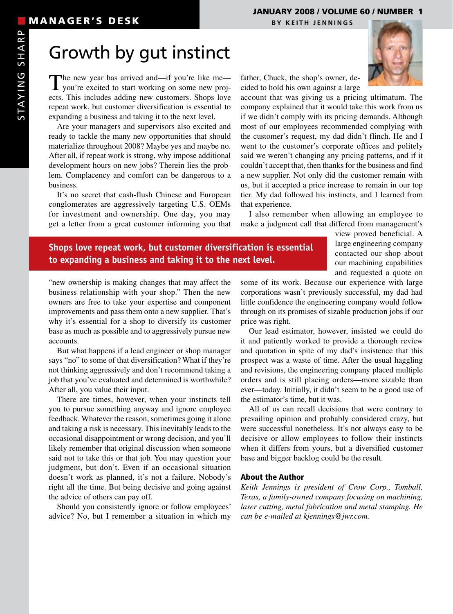### JANUARY 2008 / VOLUME 60 / NUMBER 1

# Growth by gut instinct

The new year has arrived and—if you're like me—<br>you're excited to start working on some new projects. This includes adding new customers. Shops love repeat work, but customer diversification is essential to expanding a business and taking it to the next level.

Are your managers and supervisors also excited and ready to tackle the many new opportunities that should materialize throughout 2008? Maybe yes and maybe no. After all, if repeat work is strong, why impose additional development hours on new jobs? Therein lies the problem. Complacency and comfort can be dangerous to a business.

It's no secret that cash-flush Chinese and European conglomerates are aggressively targeting U.S. OEMs for investment and ownership. One day, you may get a letter from a great customer informing you that



father, Chuck, the shop's owner, decided to hold his own against a large

account that was giving us a pricing ultimatum. The company explained that it would take this work from us if we didn't comply with its pricing demands. Although most of our employees recommended complying with the customer's request, my dad didn't flinch. He and I went to the customer's corporate offices and politely said we weren't changing any pricing patterns, and if it couldn't accept that, then thanks for the business and find a new supplier. Not only did the customer remain with us, but it accepted a price increase to remain in our top tier. My dad followed his instincts, and I learned from that experience.

I also remember when allowing an employee to make a judgment call that differed from management's

### **Shops love repeat work, but customer diversification is essential to expanding a business and taking it to the next level.**

view proved beneficial. A large engineering company contacted our shop about our machining capabilities and requested a quote on

"new ownership is making changes that may affect the business relationship with your shop." Then the new owners are free to take your expertise and component improvements and pass them onto a new supplier. That's why it's essential for a shop to diversify its customer base as much as possible and to aggressively pursue new accounts.

But what happens if a lead engineer or shop manager says "no" to some of that diversification? What if they're not thinking aggressively and don't recommend taking a job that you've evaluated and determined is worthwhile? After all, you value their input.

There are times, however, when your instincts tell you to pursue something anyway and ignore employee feedback. Whatever the reason, sometimes going it alone and taking a risk is necessary. This inevitably leads to the occasional disappointment or wrong decision, and you'll likely remember that original discussion when someone said not to take this or that job. You may question your judgment, but don't. Even if an occasional situation doesn't work as planned, it's not a failure. Nobody's right all the time. But being decisive and going against the advice of others can pay off.

Should you consistently ignore or follow employees' advice? No, but I remember a situation in which my some of its work. Because our experience with large corporations wasn't previously successful, my dad had little confidence the engineering company would follow through on its promises of sizable production jobs if our price was right.

Our lead estimator, however, insisted we could do it and patiently worked to provide a thorough review and quotation in spite of my dad's insistence that this prospect was a waste of time. After the usual haggling and revisions, the engineering company placed multiple orders and is still placing orders—more sizable than ever—today. Initially, it didn't seem to be a good use of the estimator's time, but it was.

All of us can recall decisions that were contrary to prevailing opinion and probably considered crazy, but were successful nonetheless. It's not always easy to be decisive or allow employees to follow their instincts when it differs from yours, but a diversified customer base and bigger backlog could be the result.

#### About the Author

*Keith Jennings is president of Crow Corp., Tomball, Texas, a family-owned company focusing on machining, laser cutting, metal fabrication and metal stamping. He can be e-mailed at kjennings@jwr.com.*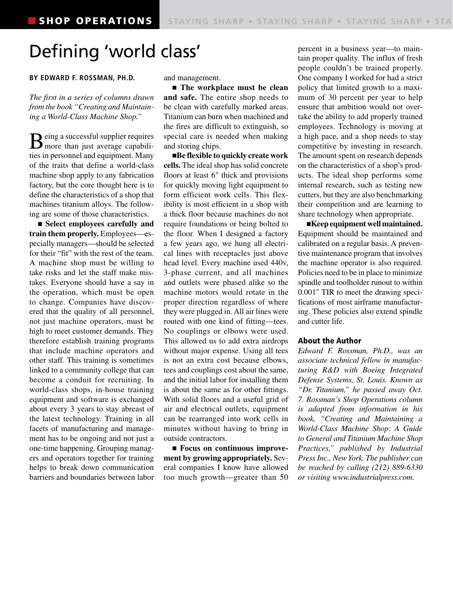## Defining 'world class'

#### **BY EDWARD F. ROSSMAN, Ph.D.**

*The first in a series of columns drawn from the book "Creating and Maintaining a World-Class Machine Shop."*

 $\mathbf{B}$  eing a successful supplier requires more than just average capabilities in personnel and equipment. Many of the traits that define a world-class machine shop apply to any fabrication factory, but the core thought here is to define the characteristics of a shop that machines titanium alloys. The following are some of those characteristics.

n **Select employees carefully and train them properly.** Employees—especially managers—should be selected for their "fit" with the rest of the team. A machine shop must be willing to take risks and let the staff make mistakes. Everyone should have a say in the operation, which must be open to change. Companies have discovered that the quality of all personnel, not just machine operators, must be high to meet customer demands. They therefore establish training programs that include machine operators and other staff. This training is sometimes linked to a community college that can become a conduit for recruiting. In world-class shops, in-house training equipment and software is exchanged about every 3 years to stay abreast of the latest technology. Training in all facets of manufacturing and management has to be ongoing and not just a one-time happening. Grouping managers and operators together for training helps to break down communication barriers and boundaries between labor

and management.

n **The workplace must be clean and safe.** The entire shop needs to be clean with carefully marked areas. Titanium can burn when machined and the fires are difficult to extinguish, so special care is needed when making and storing chips.

■**Be flexible to quickly create work cells.** The ideal shop has solid concrete floors at least 6" thick and provisions for quickly moving light equipment to form efficient work cells. This flexibility is most efficient in a shop with a thick floor because machines do not require foundations or being bolted to the floor. When I designed a factory a few years ago, we hung all electrical lines with receptacles just above head level. Every machine used 440v, 3-phase current, and all machines and outlets were phased alike so the machine motors would rotate in the proper direction regardless of where they were plugged in. All air lines were routed with one kind of fitting—tees. No couplings or elbows were used. This allowed us to add extra airdrops without major expense. Using all tees is not an extra cost because elbows, tees and couplings cost about the same, and the initial labor for installing them is about the same as for other fittings. With solid floors and a useful grid of air and electrical outlets, equipment can be rearranged into work cells in minutes without having to bring in outside contractors.

■ Focus on continuous improve**ment by growing appropriately.** Several companies I know have allowed too much growth—greater than 50 percent in a business year—to maintain proper quality. The influx of fresh people couldn't be trained properly. One company I worked for had a strict policy that limited growth to a maximum of 30 percent per year to help ensure that ambition would not overtake the ability to add properly trained employees. Technology is moving at a high pace, and a shop needs to stay competitive by investing in research. The amount spent on research depends on the characteristics of a shop's products. The ideal shop performs some internal research, such as testing new cutters, but they are also benchmarking their competition and are learning to share technology when appropriate.

n**Keep equipment well maintained.** Equipment should be maintained and calibrated on a regular basis. A preventive maintenance program that involves the machine operator is also required. Policies need to be in place to minimize spindle and toolholder runout to within 0.001" TIR to meet the drawing specifications of most airframe manufacturing. These policies also extend spindle and cutter life.

#### About the Author

*Edward F. Rossman, Ph.D., was an associate technical fellow in manufacturing R&D with Boeing Integrated Defense Systems, St. Louis. Known as "Dr. Titanium," he passed away Oct. 7. Rossman's Shop Operations column is adapted from information in his book, "Creating and Maintaining a World-Class Machine Shop: A Guide to General and Titanium Machine Shop Practices," published by Industrial Press Inc., New York. The publisher can be reached by calling (212) 889-6330 or visiting www.industrialpress.com.*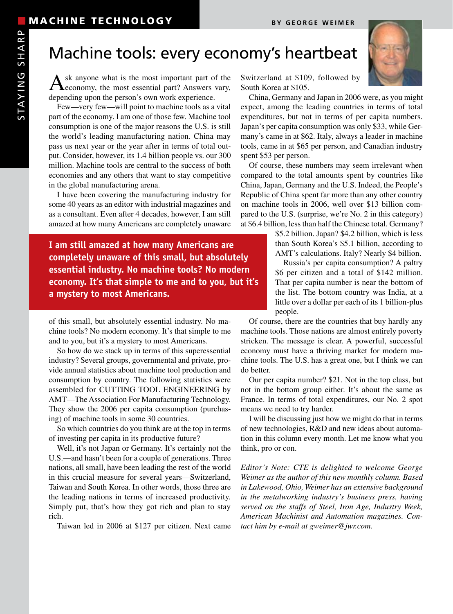## Machine tools: every economy's heartbeat

 $A$ <sup>sk</sup> anyone what is the most important part of the economy, the most essential part? Answers vary, depending upon the person's own work experience.

Few—very few—will point to machine tools as a vital part of the economy. I am one of those few. Machine tool consumption is one of the major reasons the U.S. is still the world's leading manufacturing nation. China may pass us next year or the year after in terms of total output. Consider, however, its 1.4 billion people vs. our 300 million. Machine tools are central to the success of both economies and any others that want to stay competitive in the global manufacturing arena.

I have been covering the manufacturing industry for some 40 years as an editor with industrial magazines and as a consultant. Even after 4 decades, however, I am still amazed at how many Americans are completely unaware

**I am still amazed at how many Americans are completely unaware of this small, but absolutely essential industry. No machine tools? No modern economy. It's that simple to me and to you, but it's a mystery to most Americans.**

of this small, but absolutely essential industry. No machine tools? No modern economy. It's that simple to me and to you, but it's a mystery to most Americans.

So how do we stack up in terms of this superessential industry? Several groups, governmental and private, provide annual statistics about machine tool production and consumption by country. The following statistics were assembled for CUTTING TOOL ENGINEERING by AMT—The Association For Manufacturing Technology. They show the 2006 per capita consumption (purchasing) of machine tools in some 30 countries.

So which countries do you think are at the top in terms of investing per capita in its productive future?

Well, it's not Japan or Germany. It's certainly not the U.S.—and hasn't been for a couple of generations. Three nations, all small, have been leading the rest of the world in this crucial measure for several years—Switzerland, Taiwan and South Korea. In other words, those three are the leading nations in terms of increased productivity. Simply put, that's how they got rich and plan to stay rich.

Taiwan led in 2006 at \$127 per citizen. Next came

Switzerland at \$109, followed by South Korea at \$105.

China, Germany and Japan in 2006 were, as you might expect, among the leading countries in terms of total expenditures, but not in terms of per capita numbers. Japan's per capita consumption was only \$33, while Germany's came in at \$62. Italy, always a leader in machine tools, came in at \$65 per person, and Canadian industry spent \$53 per person.

Of course, these numbers may seem irrelevant when compared to the total amounts spent by countries like China, Japan, Germany and the U.S. Indeed, the People's Republic of China spent far more than any other country on machine tools in 2006, well over \$13 billion compared to the U.S. (surprise, we're No. 2 in this category) at \$6.4 billion, less than half the Chinese total. Germany?

\$5.2 billion. Japan? \$4.2 billion, which is less than South Korea's \$5.1 billion, according to AMT's calculations. Italy? Nearly \$4 billion.

Russia's per capita consumption? A paltry \$6 per citizen and a total of \$142 million. That per capita number is near the bottom of the list. The bottom country was India, at a little over a dollar per each of its 1 billion-plus people.

Of course, there are the countries that buy hardly any machine tools. Those nations are almost entirely poverty stricken. The message is clear. A powerful, successful economy must have a thriving market for modern machine tools. The U.S. has a great one, but I think we can do better.

Our per capita number? \$21. Not in the top class, but not in the bottom group either. It's about the same as France. In terms of total expenditures, our No. 2 spot means we need to try harder.

I will be discussing just how we might do that in terms of new technologies, R&D and new ideas about automation in this column every month. Let me know what you think, pro or con.

*Editor's Note: CTE is delighted to welcome George Weimer as the author of this new monthly column. Based in Lakewood, Ohio, Weimer has an extensive background in the metalworking industry's business press, having served on the staffs of Steel, Iron Age, Industry Week, American Machinist and Automation magazines. Contact him by e-mail at gweimer@jwr.com.*

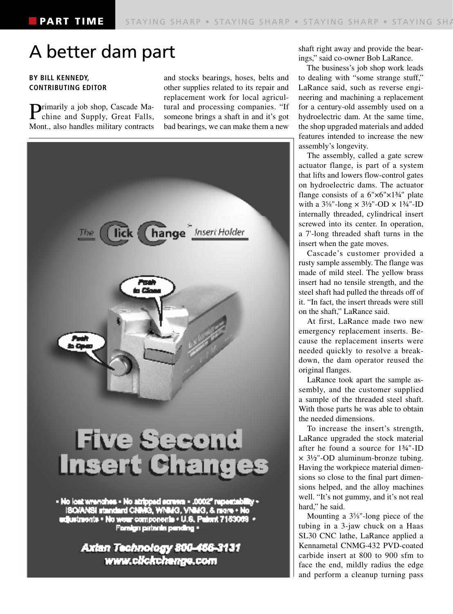## A better dam part

#### **BY BILL KENNEDY, CONTRIBUTING EDITOR**

Primarily a job shop, Cascade Ma-chine and Supply, Great Falls, Mont., also handles military contracts

and stocks bearings, hoses, belts and other supplies related to its repair and replacement work for local agricultural and processing companies. "If someone brings a shaft in and it's got bad bearings, we can make them a new



shaft right away and provide the bearings," said co-owner Bob LaRance.

The business's job shop work leads to dealing with "some strange stuff," LaRance said, such as reverse engineering and machining a replacement for a century-old assembly used on a hydroelectric dam. At the same time, the shop upgraded materials and added features intended to increase the new assembly's longevity.

The assembly, called a gate screw actuator flange, is part of a system that lifts and lowers flow-control gates on hydroelectric dams. The actuator flange consists of a  $6" \times 6" \times 1\frac{3}{4}$ " plate with a  $3\frac{5}{8}$ "-long  $\times 3\frac{1}{2}$ "-OD  $\times 1\frac{3}{4}$ "-ID internally threaded, cylindrical insert screwed into its center. In operation, a 7'-long threaded shaft turns in the insert when the gate moves.

Cascade's customer provided a rusty sample assembly. The flange was made of mild steel. The yellow brass insert had no tensile strength, and the steel shaft had pulled the threads off of it. "In fact, the insert threads were still on the shaft," LaRance said.

At first, LaRance made two new emergency replacement inserts. Because the replacement inserts were needed quickly to resolve a breakdown, the dam operator reused the original flanges.

LaRance took apart the sample assembly, and the customer supplied a sample of the threaded steel shaft. With those parts he was able to obtain the needed dimensions.

To increase the insert's strength, LaRance upgraded the stock material after he found a source for 1¾"-ID × 3½"-OD aluminum-bronze tubing. Having the workpiece material dimensions so close to the final part dimensions helped, and the alloy machines well. "It's not gummy, and it's not real hard," he said.

Mounting a  $3\frac{5}{8}$ "-long piece of the tubing in a 3-jaw chuck on a Haas SL30 CNC lathe, LaRance applied a Kennametal CNMG-432 PVD-coated carbide insert at 800 to 900 sfm to face the end, mildly radius the edge and perform a cleanup turning pass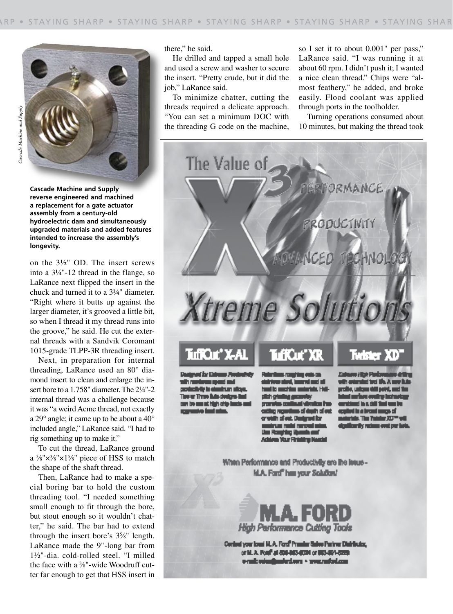

**Cascade Machine and Supply reverse engineered and machined a replacement for a gate actuator assembly from a century-old hydroelectric dam and simultaneously upgraded materials and added features intended to increase the assembly's longevity.**

on the 3½" OD. The insert screws into a 3¼"-12 thread in the flange, so LaRance next flipped the insert in the chuck and turned it to a 3¼" diameter. "Right where it butts up against the larger diameter, it's grooved a little bit, so when I thread it my thread runs into the groove," he said. He cut the external threads with a Sandvik Coromant 1015-grade TLPP-3R threading insert.

Next, in preparation for internal threading, LaRance used an 80° diamond insert to clean and enlarge the insert bore to a 1.758" diameter. The 2¼"-2 internal thread was a challenge because it was "a weird Acme thread, not exactly a 29° angle; it came up to be about a 40° included angle," LaRance said. "I had to rig something up to make it."

To cut the thread, LaRance ground a  $\frac{3}{8}$ " $\times$  $\frac{3}{8}$ " $\times$ 1 $\frac{5}{8}$ " piece of HSS to match the shape of the shaft thread.

Then, LaRance had to make a special boring bar to hold the custom threading tool. "I needed something small enough to fit through the bore, but stout enough so it wouldn't chatter," he said. The bar had to extend through the insert bore's 35 ⁄8" length. LaRance made the 9"-long bar from 1½"-dia. cold-rolled steel. "I milled the face with a 3 ⁄8"-wide Woodruff cutter far enough to get that HSS insert in

there," he said.

He drilled and tapped a small hole and used a screw and washer to secure the insert. "Pretty crude, but it did the job," LaRance said.

To minimize chatter, cutting the threads required a delicate approach. "You can set a minimum DOC with the threading G code on the machine, so I set it to about 0.001" per pass," LaRance said. "I was running it at about 60 rpm. I didn't push it; I wanted a nice clean thread." Chips were "almost feathery," he added, and broke easily. Flood coolant was applied through ports in the toolholder.

Turning operations consumed about 10 minutes, but making the thread took



net år Estrum Pent اد سرد inun dia Mala t er Timm fiain designs i cars be against high-crip lancis and Rebriken register with the sistrice sind, inserting at ille mettin e ÷ **LH** alich cr u. سن سند s af dayth af out in of out. Dusigned for id margrad and n. n a Your Firmiting Nearby

Estate Hot Pad with extensive tool life. A more fails profile, unique dell'point, anni tim n ondry into d is a diff finit was by tha beata

riale. The Training JCD <sup>an</sup> will dentitien die rechnung over een hote

When Performance and Productivity are the leaue-**M.A. Ford" has your Solution!** 



Control your local M.A. Ford<sup>9</sup> President Galves Partner Distributor, or M. A. Ford' at 800-003-0004 or 003-004-0220 onal: voin@micriors - www.micri.com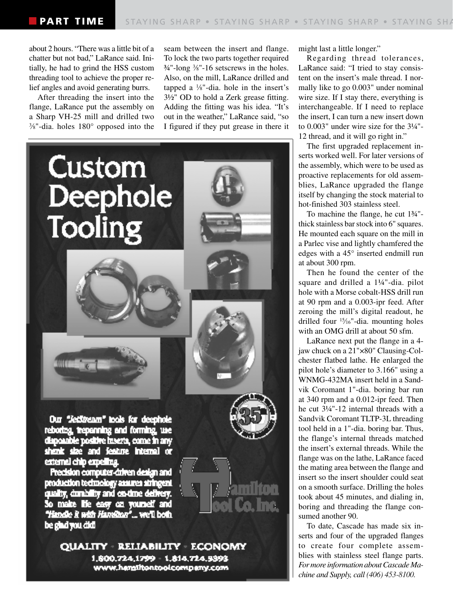about 2 hours. "There was a little bit of a chatter but not bad," LaRance said. Initially, he had to grind the HSS custom threading tool to achieve the proper relief angles and avoid generating burrs.

After threading the insert into the flange, LaRance put the assembly on a Sharp VH-25 mill and drilled two 3 ⁄8"-dia. holes 180° opposed into the seam between the insert and flange. To lock the two parts together required ¾"-long 3 ⁄8"-16 setscrews in the holes. Also, on the mill, LaRance drilled and tapped a  $\frac{1}{8}$ "-dia. hole in the insert's 3½" OD to hold a Zerk grease fitting. Adding the fitting was his idea. "It's out in the weather," LaRance said, "so I figured if they put grease in there it



QUALITY RELIABILITY ECONOMY 1,600.724,1799 1,814,724,9393 www.hanalitontool.company.com

might last a little longer."

Regarding thread tolerances, LaRance said: "I tried to stay consistent on the insert's male thread. I normally like to go 0.003" under nominal wire size. If I stay there, everything is interchangeable. If I need to replace the insert, I can turn a new insert down to 0.003" under wire size for the  $3\frac{1}{4}$ "-12 thread, and it will go right in."

The first upgraded replacement inserts worked well. For later versions of the assembly, which were to be used as proactive replacements for old assemblies, LaRance upgraded the flange itself by changing the stock material to hot-finished 303 stainless steel.

To machine the flange, he cut 1¾" thick stainless bar stock into 6" squares. He mounted each square on the mill in a Parlec vise and lightly chamfered the edges with a 45° inserted endmill run at about 300 rpm.

Then he found the center of the square and drilled a 1¼"-dia. pilot hole with a Morse cobalt-HSS drill run at 90 rpm and a 0.003-ipr feed. After zeroing the mill's digital readout, he drilled four 15⁄16"-dia. mounting holes with an OMG drill at about 50 sfm.

LaRance next put the flange in a 4 jaw chuck on a 21"×80" Clausing-Colchester flatbed lathe. He enlarged the pilot hole's diameter to 3.166" using a WNMG-432MA insert held in a Sandvik Coromant 1"-dia. boring bar run at 340 rpm and a 0.012-ipr feed. Then he cut 3¼"-12 internal threads with a Sandvik Coromant TLTP-3L threading tool held in a 1"-dia. boring bar. Thus, the flange's internal threads matched the insert's external threads. While the flange was on the lathe, LaRance faced the mating area between the flange and insert so the insert shoulder could seat on a smooth surface. Drilling the holes took about 45 minutes, and dialing in, boring and threading the flange consumed another 90.

To date, Cascade has made six inserts and four of the upgraded flanges to create four complete assemblies with stainless steel flange parts. *For more information about Cascade Machine and Supply, call (406) 453-8100.*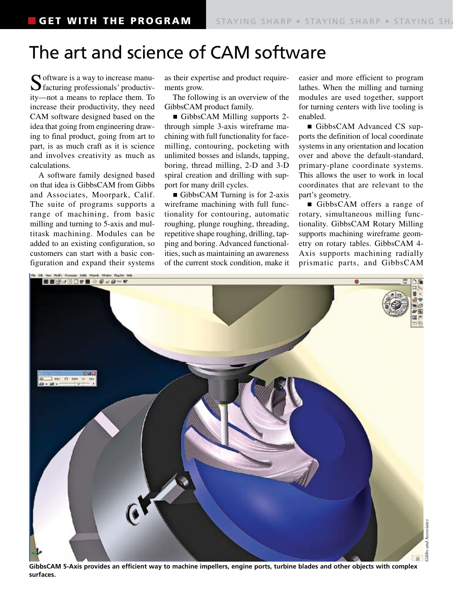## The art and science of CAM software

 $\bigcap$  oftware is a way to increase manufacturing professionals' productivity—not a means to replace them. To increase their productivity, they need CAM software designed based on the idea that going from engineering drawing to final product, going from art to part, is as much craft as it is science and involves creativity as much as calculations.

A software family designed based on that idea is GibbsCAM from Gibbs and Associates, Moorpark, Calif. The suite of programs supports a range of machining, from basic milling and turning to 5-axis and multitask machining. Modules can be added to an existing configuration, so customers can start with a basic configuration and expand their systems as their expertise and product requirements grow.

The following is an overview of the GibbsCAM product family.

■ GibbsCAM Milling supports 2through simple 3-axis wireframe machining with full functionality for facemilling, contouring, pocketing with unlimited bosses and islands, tapping, boring, thread milling, 2-D and 3-D spiral creation and drilling with support for many drill cycles.

GibbsCAM Turning is for 2-axis wireframe machining with full functionality for contouring, automatic roughing, plunge roughing, threading, repetitive shape roughing, drilling, tapping and boring. Advanced functionalities, such as maintaining an awareness of the current stock condition, make it easier and more efficient to program lathes. When the milling and turning modules are used together, support for turning centers with live tooling is enabled.

■ GibbsCAM Advanced CS supports the definition of local coordinate systems in any orientation and location over and above the default-standard, primary-plane coordinate systems. This allows the user to work in local coordinates that are relevant to the part's geometry.

■ GibbsCAM offers a range of rotary, simultaneous milling functionality. GibbsCAM Rotary Milling supports machining wireframe geometry on rotary tables. GibbsCAM 4- Axis supports machining radially prismatic parts, and GibbsCAM



GibbsCAM 5-Axis provides an efficient way to machine impellers, engine ports, turbine blades and other objects with complex **surfaces.**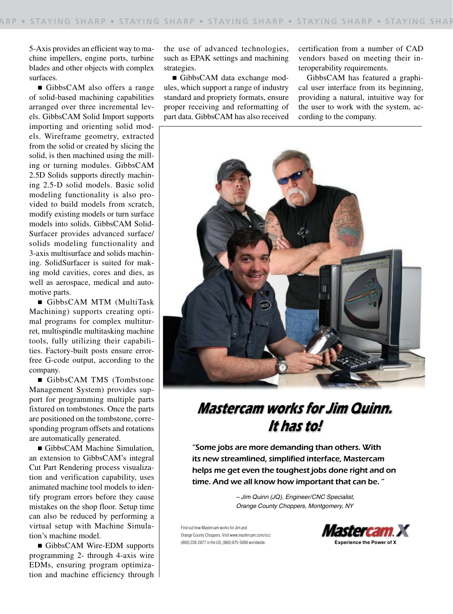5-Axis provides an efficient way to machine impellers, engine ports, turbine blades and other objects with complex surfaces.

n GibbsCAM also offers a range of solid-based machining capabilities arranged over three incremental levels. GibbsCAM Solid Import supports importing and orienting solid models. Wireframe geometry, extracted from the solid or created by slicing the solid, is then machined using the milling or turning modules. GibbsCAM 2.5D Solids supports directly machining 2.5-D solid models. Basic solid modeling functionality is also provided to build models from scratch, modify existing models or turn surface models into solids. GibbsCAM Solid-Surfacer provides advanced surface/ solids modeling functionality and 3-axis multisurface and solids machining. SolidSurfacer is suited for making mold cavities, cores and dies, as well as aerospace, medical and automotive parts.

n GibbsCAM MTM (MultiTask Machining) supports creating optimal programs for complex multiturret, multispindle multitasking machine tools, fully utilizing their capabilities. Factory-built posts ensure errorfree G-code output, according to the company.

■ GibbsCAM TMS (Tombstone Management System) provides support for programming multiple parts fixtured on tombstones. Once the parts are positioned on the tombstone, corresponding program offsets and rotations are automatically generated.

■ GibbsCAM Machine Simulation, an extension to GibbsCAM's integral Cut Part Rendering process visualization and verification capability, uses animated machine tool models to identify program errors before they cause mistakes on the shop floor. Setup time can also be reduced by performing a virtual setup with Machine Simulation's machine model.

■ GibbsCAM Wire-EDM supports programming 2- through 4-axis wire EDMs, ensuring program optimization and machine efficiency through

the use of advanced technologies, such as EPAK settings and machining strategies.

■ GibbsCAM data exchange modules, which support a range of industry standard and propriety formats, ensure proper receiving and reformatting of part data. GibbsCAM has also received certification from a number of CAD vendors based on meeting their interoperability requirements.

GibbsCAM has featured a graphical user interface from its beginning, providing a natural, intuitive way for the user to work with the system, according to the company.



### **Mastercam works for Jim Quinn. It has to!**

"Some jobs are more demanding than others. With its new streamlined, simplified interface, Mastercam helps me get even the toughest jobs done right and on time. And we all know how important that can be. "

> – Jim Quinn (JQ), Engineer/CNC Specialist, Orange County Choppers, Montgomery, NY

Find out how Mastercam works for Jim and Orange County Choppers. Visit www.mastercam.com/occ (800) 228-2877 in the US, (860) 875-5006 worldwide. **Experience the Power of X**

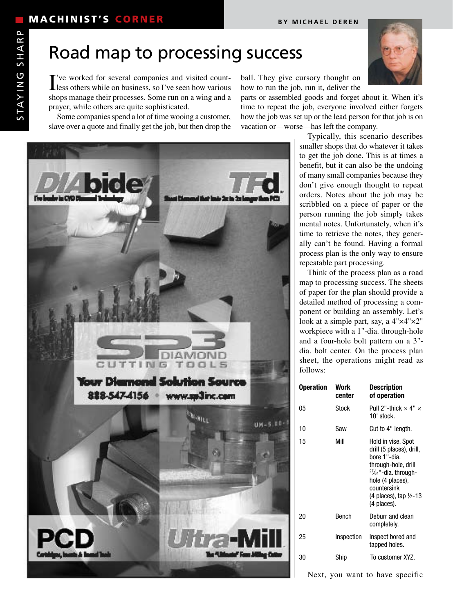## Road map to processing success

I've worked for several companies and visited count-<br>less others while on business, so I've seen how various less others while on business, so I've seen how various shops manage their processes. Some run on a wing and a prayer, while others are quite sophisticated.

Some companies spend a lot of time wooing a customer, slave over a quote and finally get the job, but then drop the



parts or assembled goods and forget about it. When it's time to repeat the job, everyone involved either forgets how the job was set up or the lead person for that job is on vacation or—worse—has left the company.

DIAMON ING TOOLS **Your Districted Solut** on Source 828-547-4156 www.sa3inc.cam UM-5.00



Typically, this scenario describes smaller shops that do whatever it takes to get the job done. This is at times a benefit, but it can also be the undoing of many small companies because they don't give enough thought to repeat orders. Notes about the job may be scribbled on a piece of paper or the person running the job simply takes mental notes. Unfortunately, when it's time to retrieve the notes, they generally can't be found. Having a formal process plan is the only way to ensure repeatable part processing.

Think of the process plan as a road map to processing success. The sheets of paper for the plan should provide a detailed method of processing a component or building an assembly. Let's look at a simple part, say, a 4"×4"×2" workpiece with a 1"-dia. through-hole and a four-hole bolt pattern on a 3" dia. bolt center. On the process plan sheet, the operations might read as follows:

| <b>Operation</b> | Work<br>center | <b>Description</b><br>of operation                                                                                                                                                                                 |
|------------------|----------------|--------------------------------------------------------------------------------------------------------------------------------------------------------------------------------------------------------------------|
| 05               | Stock          | Pull 2"-thick $\times$ 4" $\times$<br>10' stock.                                                                                                                                                                   |
| 10               | Saw            | Cut to 4" length.                                                                                                                                                                                                  |
| 15               | Mill           | Hold in vise. Spot<br>drill (5 places), drill,<br>hore 1"-dia.<br>through-hole, drill<br>$27/64$ "-dia. through-<br>hole (4 places),<br>countersink<br>$(4 \text{ places})$ , tap $\frac{1}{2}$ -13<br>(4 places). |
| 20               | <b>Bench</b>   | Deburr and clean<br>completely.                                                                                                                                                                                    |
| 25               | Inspection     | Inspect bored and<br>tapped holes.                                                                                                                                                                                 |
| 30               | Ship           | To customer XYZ.                                                                                                                                                                                                   |
|                  |                |                                                                                                                                                                                                                    |

Next, you want to have specific